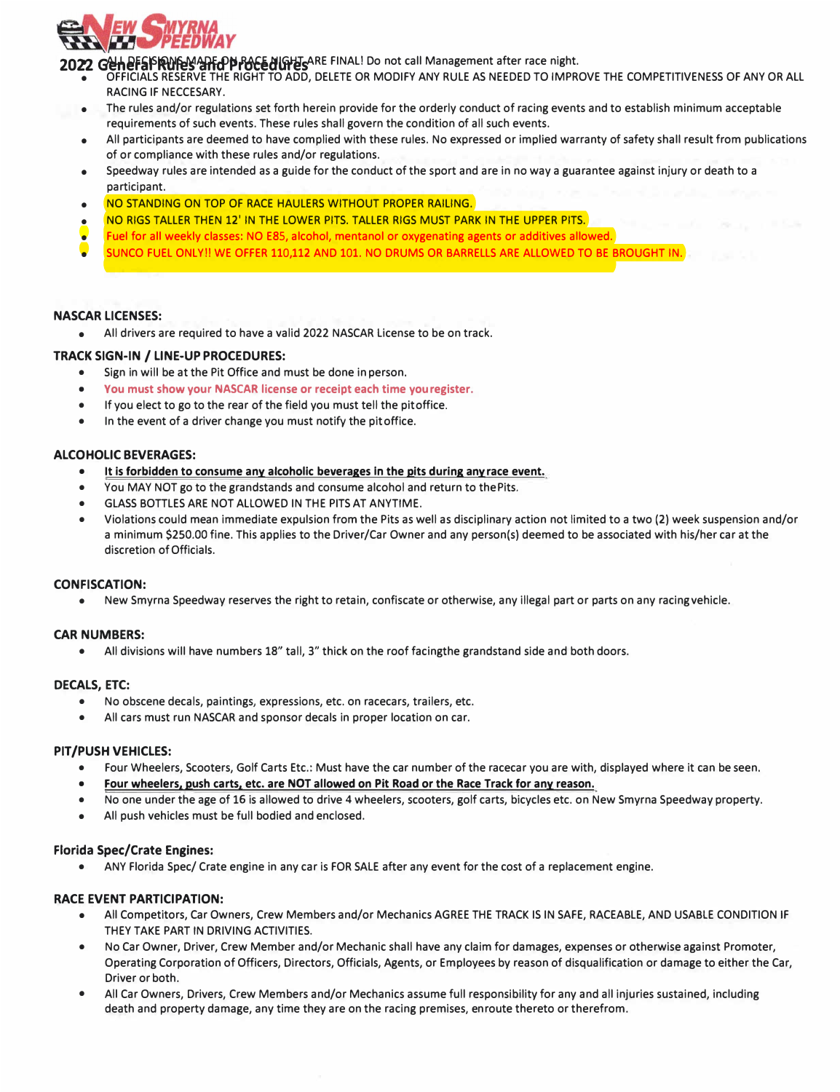

**22 General Rules and <b>Procedure**s ARE FINAL! Do not call Management after race night.

- OFFICIALS RESERVE THE RIGHT TO ADD, DELETE OR MODIFY ANY RULE AS NEEDED TO IMPROVE THE COMPETITIVENESS OF ANY OR ALL RACING IF NECCESARY.
- The rules and/or regulations set forth herein provide for the orderly conduct of racing events and to establish minimum acceptable requirements of such events. These rules shall govern the condition of all such events.
- All participants are deemed to have complied with these rules. No expressed or implied warranty of safety shall result from publications of or compliance with these rules and/or regulations.
- Speedway rules are intended as a guide for the conduct of the sport and are in no way a guarantee against injury or death to a participant.
- **NO STANDING ON TOP OF RACE HAULERS WITHOUT PROPER RAILING.**
- NO RIGS TALLER THEN 12' IN THE LOWER PITS. TALLER RIGS MUST PARK IN THE UPPER PITS.
- Fuel for all weekly classes: NO E85, alcohol, mentanol or oxygenating agents or additives allowed.
- SUNCO FUEL ONLY!! WE OFFER 110,112 AND 101. NO DRUMS OR BARRELLS ARE ALLOWED TO BE BROUGHT IN.

#### **NASCAR LICENSES:**

• All drivers are required to have a valid **2022** NASCAR License to be on track.

#### **TRACK SIGN-IN / LINE-UP PROCEDURES:**

- Sign in will be at the Pit Office and must be done in person.
- **• You must show your NASCAR license or receipt each time you register.**
- If you elect to go to the rear of the field you must tell the pit office.
- In the event of a driver change you must notify the pit office.

#### **ALCOHOLIC BEVERAGES:**

- **• It is forbidden to consume any alcoholic beverages** in **the pits during any race event.**
- You MAY NOT go to the grandstands and consume alcohol and return to the Pits.
- GLASS BOTTLES ARE NOT ALLOWED IN THE PITS AT ANYTIME.
- Violations could mean immediate expulsion from the Pits as well as disciplinary action not limited to a two (2) week suspension and/or a minimum **\$250.00** fine. This applies to the Driver/Car Owner and any person(s) deemed to be associated with his/her car at the discretion of Officials.

#### **CONFISCATION:**

• New Smyrna Speedway reserves the right to retain, confiscate or otherwise, any illegal part or parts on any racing vehicle.

#### **CAR NUMBERS:**

• All divisions will have numbers 18" tall, 3" thick on the roof facingthe grandstand side and both doors.

#### **DECALS, ETC:**

- No obscene decals, paintings, expressions, etc. on racecars, trailers, etc.
- All cars must run NASCAR and sponsor decals in proper location on car.

#### **PIT /PUSH VEHICLES:**

- Four Wheelers, Scooters, Golf Carts Etc.: Must have the car number of the racecar you are with, displayed where it can be seen.
- **• Four wheelers, push carts, etc. are NOT allowed on Pit Road or the Race Track for any reason.**
- No one under the age of 16 is allowed to drive 4 wheelers, scooters, golf carts, bicycles etc. on New Smyrna Speedway property.
- All push vehicles must be full bodied and enclosed.

#### **Florida Spec/Crate Engines:**

• ANY Florida Spec/ Crate engine in any car is FOR SALE after any event for the cost of a replacement engine.

#### **RACE EVENT PARTICIPATION:**

- All Competitors, Car Owners, Crew Members and/or Mechanics AGREE THE TRACK IS IN SAFE, RACEABLE, AND USABLE CONDITION IF THEY TAKE PART IN DRIVING ACTIVITIES.
- No Car Owner, Driver, Crew Member and/or Mechanic shall have any claim for damages, expenses or otherwise against Promoter, Operating Corporation of Officers, Directors, Officials, Agents, or Employees by reason of disqualification or damage to either the Car, Driver or both.
- All Car Owners, Drivers, Crew Members and/or Mechanics assume full responsibility for any and all injuries sustained, including death and property damage, any time they are on the racing premises, en route thereto or therefrom.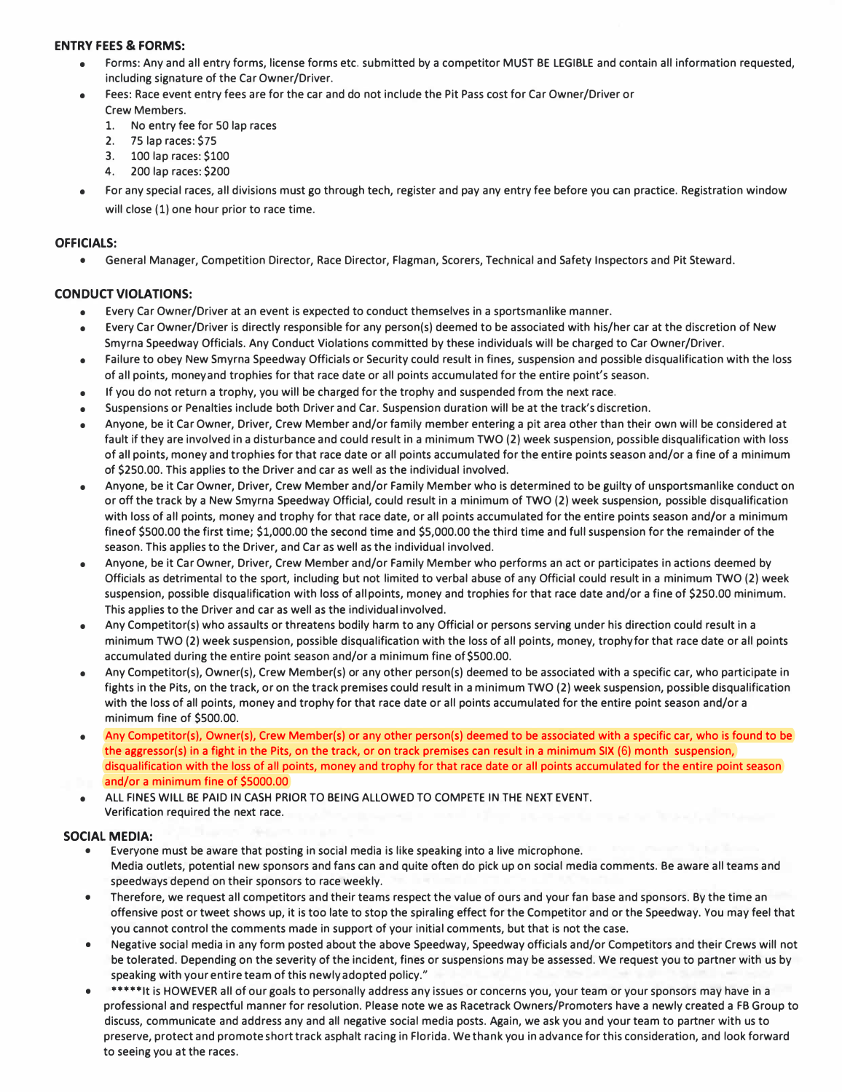#### **ENTRY FEES & FORMS:**

- Forms: Any and all entry forms, license forms etc. submitted by a competitor MUST BE LEGIBLE and contain all information requested, including signature of the Car Owner/Driver.
	- Fees: Race event entry fees are for the car and do not include the Pit Pass cost for Car Owner/Driver or
		- Crew Members.
			- 1. No entry fee for 50 lap races
			- 2. 75 lap races: \$75
		- 3. 100 lap races: \$100
		- 4. 200 lap races: \$200
- For any special races, all divisions must go through tech, register and pay any entry fee before you can practice. Registration window will close (1) one hour prior to race time.

### **OFFICIALS:**

• General Manager, Competition Director, Race Director, Flagman, Scorers, Technical and Safety Inspectors and Pit Steward.

## **CONDUCT VIOLATIONS:**

- Every Car Owner/Driver at an event is expected to conduct themselves in a sportsmanlike manner.
- Every Car Owner/Driver is directly responsible for any person(s) deemed to be associated with his/her car at the discretion of New Smyrna Speedway Officials. Any Conduct Violations committed by these individuals will be charged to Car Owner/Driver.
- Failure to obey New Smyrna Speedway Officials or Security could result in fines, suspension and possible disqualification with the loss of all points, money and trophies for that race date or all points accumulated for the entire point's season.
- If you do not return a trophy, you will be charged for the trophy and suspended from the next race.
- Suspensions or Penalties include both Driver and Car. Suspension duration will be at the track's discretion.
- Anyone, be it Car Owner, Driver, Crew Member and/or family member entering a pit area other than their own will be considered at fault if they are involved in a disturbance and could result in a minimum TWO (2) week suspension, possible disqualification with loss of all points, money and trophies for that race date or all points accumulated for the entire points season and/or a fine of a minimum of \$250.00. This applies to the Driver and car as well as the individual involved.
- Anyone, be it Car Owner, Driver, Crew Member and/or Family Member who is determined to be guilty of unsportsmanlike conduct on or *off* the track by a New Smyrna Speedway Official, could result in a minimum of TWO (2) week suspension, possible disqualification with loss of all points, money and trophy for that race date, or all points accumulated for the entire points season and/or a minimum fine of \$500.00 the first time; \$1,000.00 the second time and \$5,000.00 the third time and full suspension for the remainder of the season. This applies to the Driver, and Car as well as the individual involved.
- Anyone, be it Car Owner, Driver, Crew Member and/or Family Member who performs an act or participates in actions deemed by Officials as detrimental to the sport, including but not limited to verbal abuse of any Official could result in a minimum TWO (2) week suspension, possible disqualification with loss of allpoints, money and trophies for that race date and/or a fine of \$250.00 minimum. This applies to the Driver and car as well as the individual involved.
- Any Competitor(s) who assaults or threatens bodily harm to any Official or persons serving under his direction could result in a minimum TWO (2) week suspension, possible disqualification with the loss of all points, money, trophy for that race date or all points accumulated during the entire point season and/or a minimum fine of \$500.00.
- Any Competitor(s), Owner(s), Crew Member(s) or any other person(s) deemed to be associated with a specific car, who participate in fights in the Pits, on the track, or on the track premises could result in a minimum TWO (2) week suspension, possible disqualification with the loss of all points, money and trophy for that race date or all points accumulated for the entire point season and/or a minimum fine of \$500.00.
- Any Competitor(s), Owner(s), Crew Member(s) or any other person(s) deemed to be associated with a specific car, who is found to be the aggressor(s) in a fight in the Pits, on the track, or on track premises can result in a minimum SIX (6) month suspension, disqualification with the loss of all points, money and trophy for that race date or all points accumulated for the entire point season and/or a minimum fine of \$5000.00
- ALL FINES WILL BE PAID IN CASH PRIOR TO BEING ALLOWED TO COMPETE IN THE NEXT EVENT. Verification required the next race.

## **SOCIAL MEDIA:**

- Everyone must be aware that posting in social media is like speaking into a live microphone. Media outlets, potential new sponsors and fans can and quite often do pick up on social media comments. Be aware all teams and speedways depend on their sponsors to race weekly.
- Therefore, we request all competitors and their teams respect the value of ours and your fan base and sponsors. By the time an offensive post or tweet shows up, it is too late to stop the spiraling effect for the Competitor and or the Speedway. You may feel that you cannot control the comments made in support of your initial comments, but that is not the case.
- Negative social media in any form posted about the above Speedway, Speedway officials and/or Competitors and their Crews will not be tolerated. Depending on the severity of the incident, fines or suspensions may be assessed. We request you to partner with us by speaking with your entire team of this newly adopted policy."
- \*\*\*\*\* It is HOWEVER all of our goals to personally address any issues or concerns you, your team or your sponsors may have in a professional and respectful manner for resolution. Please note we as Racetrack Owners/Promoters have a newly created a FB Group to discuss, communicate and address any and all negative social media posts. Again, we ask you and your team to partner with us to preserve, protect and promote short track asphalt racing in Florida. We thank you in advance for this consideration, and look forward to seeing you at the races.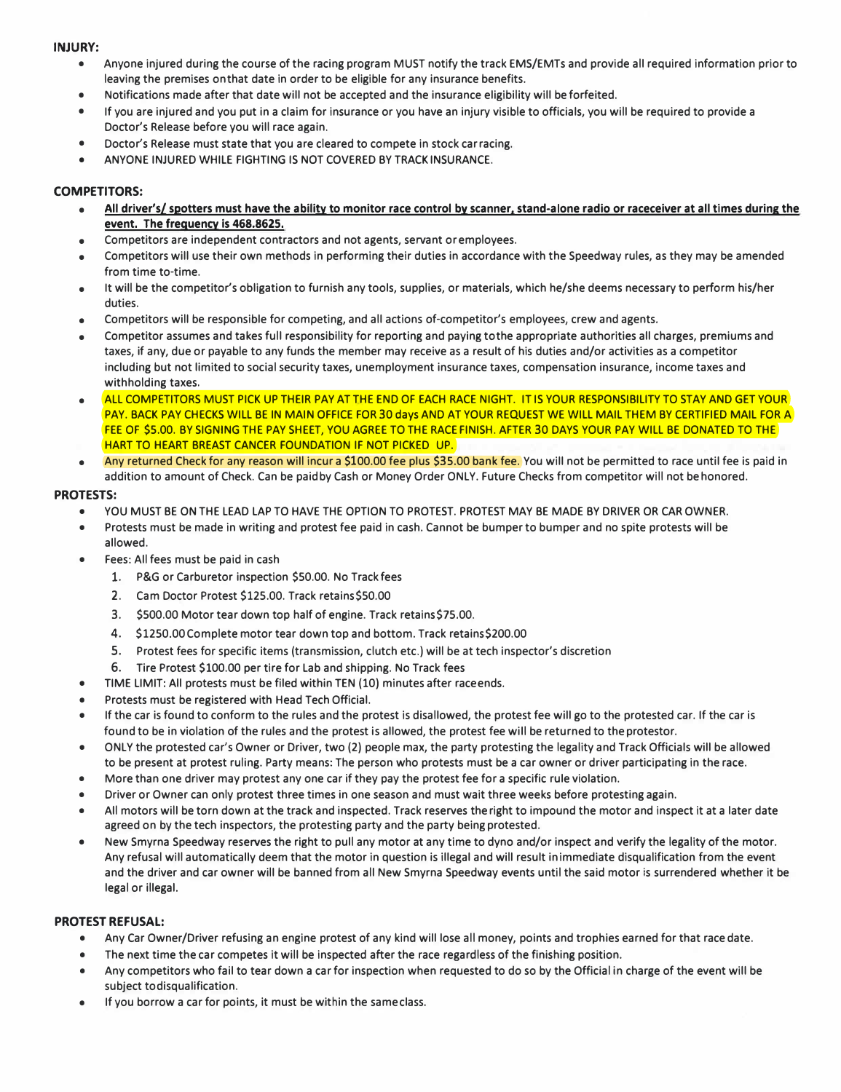#### **INJURY:**

- Anyone injured during the course of the racing program MUST notify the track EMS/EMTs and provide all required information prior to leaving the premises on that date in order to be eligible for any insurance benefits.
- Notifications made after that date will not be accepted and the insurance eligibility will be forfeited.
- If you are injured and you put in a claim for insurance or you have an injury visible to officials, you will be required to provide a Doctor's Release before you will race again.
- Doctor's Release must state that you are cleared to compete in stock car racing.
- ANYONE INJURED WHILE FIGHTING IS NOT COVERED BY TRACK INSURANCE.

# **COMPETITORS:**

- **All driver's/ spotters must have the ability to monitor race control by scanner, stand-alone radio or raceceiver at all times during the event. The frequency is 468.8625.**
- Competitors are independent contractors and not agents, servant or employees.
- Competitors will use their own methods in performing their duties in accordance with the Speedway rules, as they may be amended from time to-time.
- It will be the competitor's obligation to furnish any tools, supplies, or materials, which he/she deems necessary to perform his/her duties.
- Competitors will be responsible for competing, and all actions of-competitor's employees, crew and agents.
- Competitor assumes and takes full responsibility for reporting and paying to the appropriate authorities all charges, premiums and taxes, if any, due or payable to any funds the member may receive as a result of his duties and/or activities as a competitor including but not limited to social security taxes, unemployment insurance taxes, compensation insurance, income taxes and withholding taxes.
- ALL COMPETITORS MUST PICK UP THEIR PAY AT THE END OF EACH RACE NIGHT. IT IS YOUR RESPONSIBILITY TO STAY AND GET YOUR PAY. BACK PAY CHECKS WILL BE IN MAIN OFFICE FOR 30 days AND AT YOUR REQUEST WE WILL MAIL THEM BY CERTIFIED MAIL FOR A FEE OF \$5.00. BY SIGNING THE PAY SHEET, YOU AGREE TO THE RACE FINISH. AFTER 30 DAYS YOUR PAY WILL BE DONATED TO THE HART TO HEART BREAST CANCER FOUNDATION IF NOT PICKED UP.
- Any returned Check for any reason will incur a \$100.00 fee plus \$35.00 bank fee. You will not be permitted to race until fee is paid in addition to amount of Check. Can be paid by Cash or Money Order ONLY. Future Checks from competitor will not be honored.

## **PROTESTS:**

- YOU MUST BE ON THE LEAD LAP TO HAVE THE OPTION TO PROTEST. PROTEST MAY BE MADE BY DRIVER OR CAR OWNER.
- Protests must be made in writing and protest fee paid in cash. Cannot be bumper to bumper and no spite protests will be allowed.
- Fees: All fees must be paid in cash
	- 1. P&G or Carburetor inspection \$50.00. No Track fees
	- 2. Cam Doctor Protest \$125.00. Track retains\$50.00
	- 3. \$500.00 Motor tear down top half of engine. Track retains\$75.00.
	- 4. \$1250.00 Complete motor tear down top and bottom. Track retains\$200.00
	- 5. Protest fees for specific items (transmission, clutch etc.) will be at tech inspector's discretion
	- 6. Tire Protest \$100.00 per tire for Lab and shipping. No Track fees
- TIME LIMIT: All protests must be filed within TEN (10) minutes after race ends.
- Protests must be registered with Head Tech Official.
- If the car is found to conform to the rules and the protest is disallowed, the protest fee will go to the protested car. If the car is found to be in violation of the rules and the protest is allowed, the protest fee will be returned to the protester.
- ONLY the protested car's Owner or Driver, two (2) people max, the party protesting the legality and Track Officials will be allowed to be present at protest ruling. Party means: The person who protests must be a car owner or driver participating in the race.
- More than one driver may protest any one car if they pay the protest fee for a specific rule violation.
- Driver or Owner can only protest three times in one season and must wait three weeks before protesting again.
- All motors will be torn down at the track and inspected. Track reserves the right to impound the motor and inspect it at a later date agreed on by the tech inspectors, the protesting party and the party being protested.
- New Smyrna Speedway reserves the right to pull any motor at any time to dyno and/or inspect and verify the legality of the motor. Any refusal will automatically deem that the motor in question is illegal and will result in immediate disqualification from the event and the driver and car owner will be banned from all New Smyrna Speedway events until the said motor is surrendered whether it be legal or illegal.

## **PROTEST REFUSAL:**

- Any Car Owner/Driver refusing an engine protest of any kind will lose all money, points and trophies earned for that race date.
- The next time the car competes it will be inspected after the race regardless of the finishing position.
- Any competitors who fail to tear down a car for inspection when requested to do so by the Official in charge of the event will be subject to disqualification.
- If you borrow a car for points, it must be within the same class.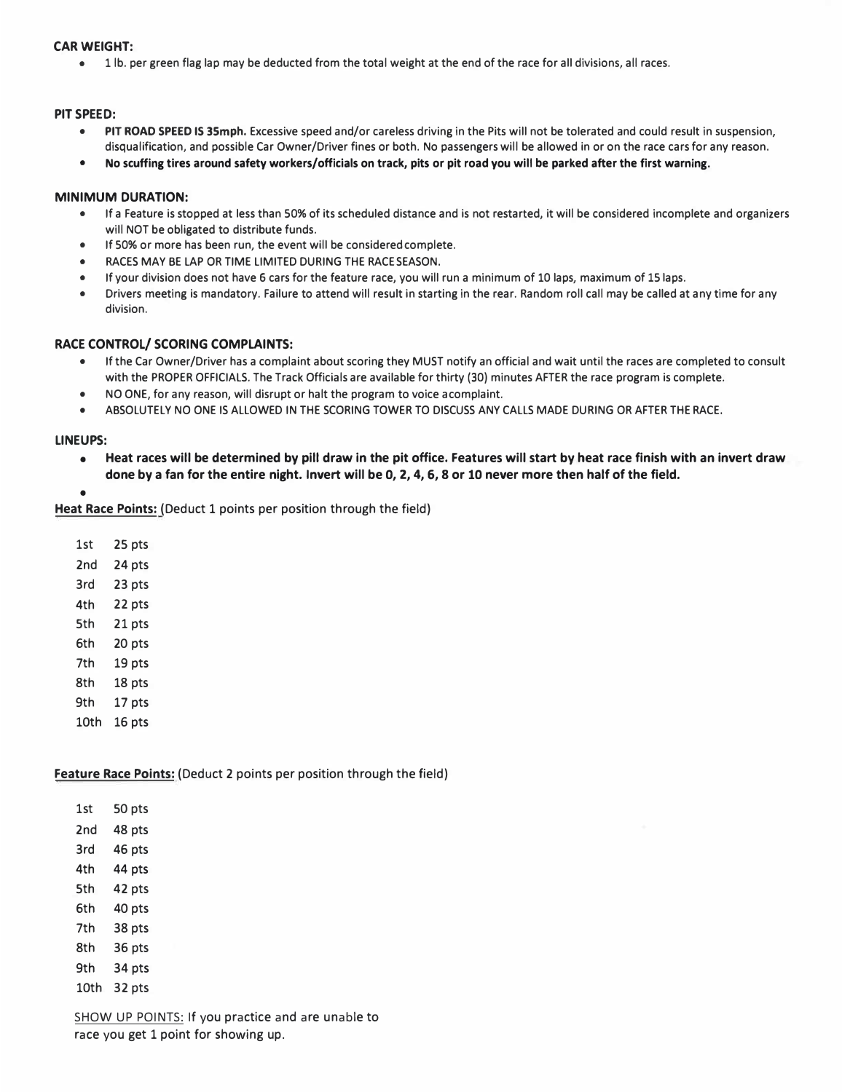### **CAR WEIGHT:**

• 1 lb. per green flag lap may be deducted from the total weight at the end of the race for all divisions, all races.

#### **PIT SPEED:**

- **PIT ROAD SPEED IS 35mph.** Excessive speed and/or careless driving in the Pits will not be tolerated and could result in suspension, disqualification, and possible Car Owner/Driver fines or both. No passengers will be allowed in or on the race cars for any reason.
- **No scuffing tires around safety workers/officials on track, pits or pit road you will be parked after the first warning.**

#### **MINIMUM DURATION:**

- If a Feature is stopped at less than 50% of its scheduled distance and is not restarted, it will be considered incomplete and organizers will NOT be obligated to distribute funds.
- If 50% or more has been run, the event will be considered complete.
- RACES MAY BE LAP OR TIME LIMITED DURING THE RACE SEASON.
- If your division does not have 6 cars for the feature race, you will run a minimum of 10 laps, maximum of 15 laps.
- Drivers meeting is mandatory. Failure to attend will result in starting in the rear. Random roll call may be called at any time for any division.

#### **RACE CONTROL/ SCORING COMPLAINTS:**

- If the Car Owner/Driver has a complaint about scoring they MUST notify an official and wait until the races are completed to consult with the PROPER OFFICIALS. The Track Officials are available for thirty (30) minutes AFTER the race program is complete.
- NO ONE, for any reason, will disrupt or halt the program to voice a complaint.
- ABSOLUTELY NO ONE IS ALLOWED IN THE SCORING TOWER TO DISCUSS ANY CALLS MADE DURING OR AFTER THE RACE.

#### **LINEUPS:**

**•**

**• Heat races will be determined by pill draw in the pit office. Features will start by heat race finish with an invert draw done by a fan for the entire night. Invert will be 0, 2, 4, 6, 8 or 10 never more then half of the field.**

**Heat Race Points:** (Deduct 1 points per position through the field)

| 25 pts |
|--------|
| 24 pts |
| 23 pts |
| 22 pts |
| 21 pts |
| 20 pts |
| 19 pts |
| 18 pts |
| 17 pts |
| 16 pts |
|        |

## **Feature Race Points:** (Deduct 2 points per position through the field)

1st 50 pts 2nd 48 pts 3rd 46 pts 4th 44 pts 5th 42 pts 6th 40 pts 7th 38 pts 8th 36 pts 9th 34 pts 10th 32 pts

SHOW UP POINTS: If you practice and are unable to race you get 1 point for showing up.